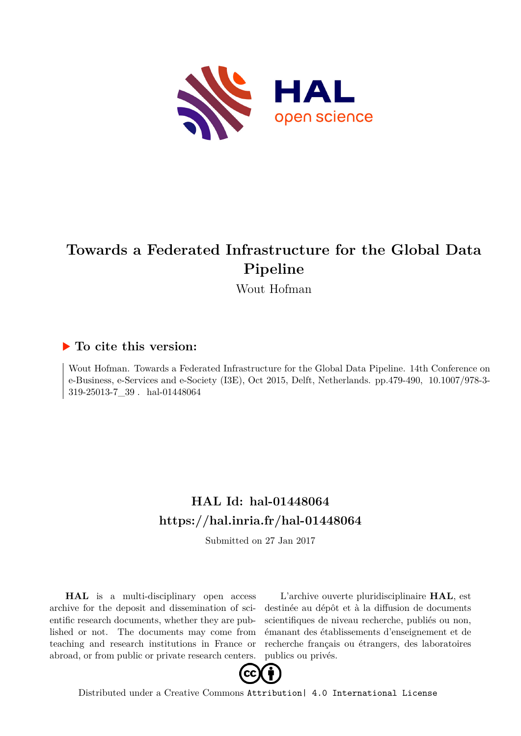

# **Towards a Federated Infrastructure for the Global Data Pipeline**

Wout Hofman

# **To cite this version:**

Wout Hofman. Towards a Federated Infrastructure for the Global Data Pipeline. 14th Conference on e-Business, e-Services and e-Society (I3E), Oct 2015, Delft, Netherlands. pp.479-490, 10.1007/978-3- $319-25013-7\_39$ . hal-01448064

# **HAL Id: hal-01448064 <https://hal.inria.fr/hal-01448064>**

Submitted on 27 Jan 2017

**HAL** is a multi-disciplinary open access archive for the deposit and dissemination of scientific research documents, whether they are published or not. The documents may come from teaching and research institutions in France or abroad, or from public or private research centers.

L'archive ouverte pluridisciplinaire **HAL**, est destinée au dépôt et à la diffusion de documents scientifiques de niveau recherche, publiés ou non, émanant des établissements d'enseignement et de recherche français ou étrangers, des laboratoires publics ou privés.



Distributed under a Creative Commons [Attribution| 4.0 International License](http://creativecommons.org/licenses/by/4.0/)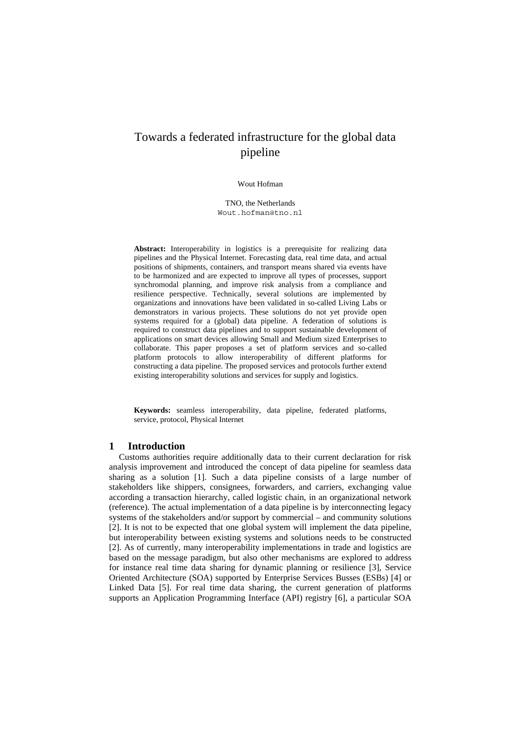# Towards a federated infrastructure for the global data pipeline

#### Wout Hofman

TNO, the Netherlands Wout.hofman@tno.nl

**Abstract:** Interoperability in logistics is a prerequisite for realizing data pipelines and the Physical Internet. Forecasting data, real time data, and actual positions of shipments, containers, and transport means shared via events have to be harmonized and are expected to improve all types of processes, support synchromodal planning, and improve risk analysis from a compliance and resilience perspective. Technically, several solutions are implemented by organizations and innovations have been validated in so-called Living Labs or demonstrators in various projects. These solutions do not yet provide open systems required for a (global) data pipeline. A federation of solutions is required to construct data pipelines and to support sustainable development of applications on smart devices allowing Small and Medium sized Enterprises to collaborate. This paper proposes a set of platform services and so-called platform protocols to allow interoperability of different platforms for constructing a data pipeline. The proposed services and protocols further extend existing interoperability solutions and services for supply and logistics.

**Keywords:** seamless interoperability, data pipeline, federated platforms, service, protocol, Physical Internet

#### **1 Introduction**

Customs authorities require additionally data to their current declaration for risk analysis improvement and introduced the concept of data pipeline for seamless data sharing as a solution [1]. Such a data pipeline consists of a large number of stakeholders like shippers, consignees, forwarders, and carriers, exchanging value according a transaction hierarchy, called logistic chain, in an organizational network (reference). The actual implementation of a data pipeline is by interconnecting legacy systems of the stakeholders and/or support by commercial – and community solutions [2]. It is not to be expected that one global system will implement the data pipeline, but interoperability between existing systems and solutions needs to be constructed [2]. As of currently, many interoperability implementations in trade and logistics are based on the message paradigm, but also other mechanisms are explored to address for instance real time data sharing for dynamic planning or resilience [3], Service Oriented Architecture (SOA) supported by Enterprise Services Busses (ESBs) [4] or Linked Data [5]. For real time data sharing, the current generation of platforms supports an Application Programming Interface (API) registry [6], a particular SOA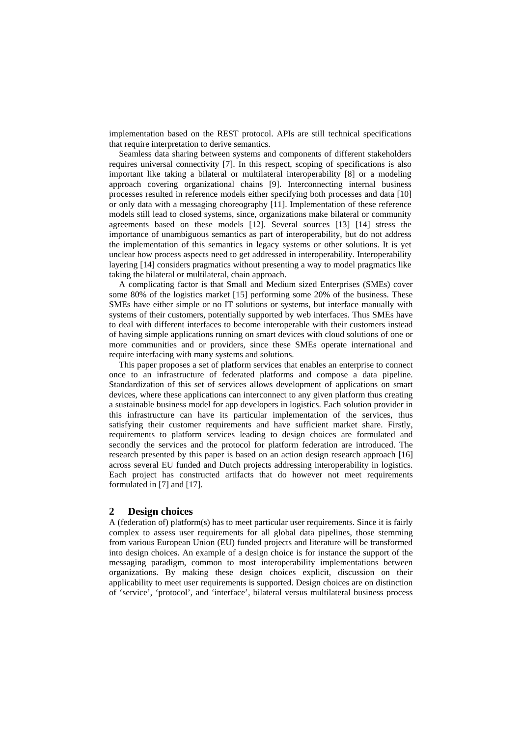implementation based on the REST protocol. APIs are still technical specifications that require interpretation to derive semantics.

Seamless data sharing between systems and components of different stakeholders requires universal connectivity [7]. In this respect, scoping of specifications is also important like taking a bilateral or multilateral interoperability [8] or a modeling approach covering organizational chains [9]. Interconnecting internal business processes resulted in reference models either specifying both processes and data [10] or only data with a messaging choreography [11]. Implementation of these reference models still lead to closed systems, since, organizations make bilateral or community agreements based on these models [12]. Several sources [13] [14] stress the importance of unambiguous semantics as part of interoperability, but do not address the implementation of this semantics in legacy systems or other solutions. It is yet unclear how process aspects need to get addressed in interoperability. Interoperability layering [14] considers pragmatics without presenting a way to model pragmatics like taking the bilateral or multilateral, chain approach.

A complicating factor is that Small and Medium sized Enterprises (SMEs) cover some 80% of the logistics market [15] performing some 20% of the business. These SMEs have either simple or no IT solutions or systems, but interface manually with systems of their customers, potentially supported by web interfaces. Thus SMEs have to deal with different interfaces to become interoperable with their customers instead of having simple applications running on smart devices with cloud solutions of one or more communities and or providers, since these SMEs operate international and require interfacing with many systems and solutions.

This paper proposes a set of platform services that enables an enterprise to connect once to an infrastructure of federated platforms and compose a data pipeline. Standardization of this set of services allows development of applications on smart devices, where these applications can interconnect to any given platform thus creating a sustainable business model for app developers in logistics. Each solution provider in this infrastructure can have its particular implementation of the services, thus satisfying their customer requirements and have sufficient market share. Firstly, requirements to platform services leading to design choices are formulated and secondly the services and the protocol for platform federation are introduced. The research presented by this paper is based on an action design research approach [16] across several EU funded and Dutch projects addressing interoperability in logistics. Each project has constructed artifacts that do however not meet requirements formulated in [7] and [17].

#### **2 Design choices**

A (federation of) platform(s) has to meet particular user requirements. Since it is fairly complex to assess user requirements for all global data pipelines, those stemming from various European Union (EU) funded projects and literature will be transformed into design choices. An example of a design choice is for instance the support of the messaging paradigm, common to most interoperability implementations between organizations. By making these design choices explicit, discussion on their applicability to meet user requirements is supported. Design choices are on distinction of 'service', 'protocol', and 'interface', bilateral versus multilateral business process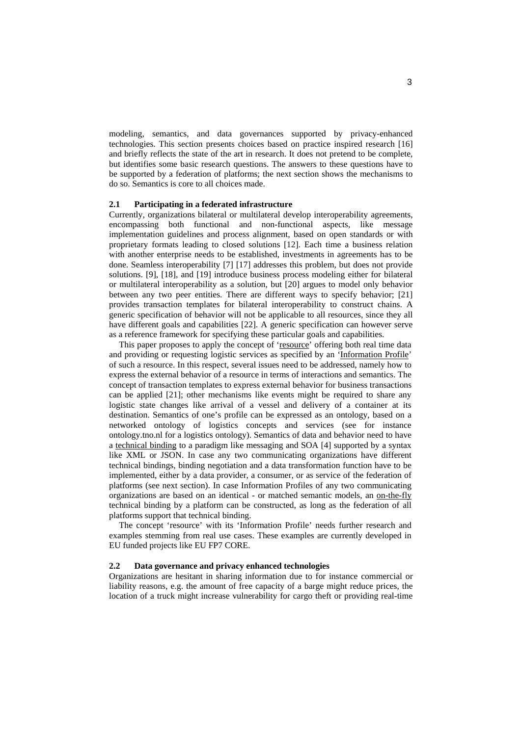modeling, semantics, and data governances supported by privacy-enhanced technologies. This section presents choices based on practice inspired research [16] and briefly reflects the state of the art in research. It does not pretend to be complete, but identifies some basic research questions. The answers to these questions have to be supported by a federation of platforms; the next section shows the mechanisms to do so. Semantics is core to all choices made.

#### **2.1 Participating in a federated infrastructure**

Currently, organizations bilateral or multilateral develop interoperability agreements, encompassing both functional and non-functional aspects, like message implementation guidelines and process alignment, based on open standards or with proprietary formats leading to closed solutions [12]. Each time a business relation with another enterprise needs to be established, investments in agreements has to be done. Seamless interoperability [7] [17] addresses this problem, but does not provide solutions. [9], [18], and [19] introduce business process modeling either for bilateral or multilateral interoperability as a solution, but [20] argues to model only behavior between any two peer entities. There are different ways to specify behavior; [21] provides transaction templates for bilateral interoperability to construct chains. A generic specification of behavior will not be applicable to all resources, since they all have different goals and capabilities [22]. A generic specification can however serve as a reference framework for specifying these particular goals and capabilities.

This paper proposes to apply the concept of 'resource' offering both real time data and providing or requesting logistic services as specified by an 'Information Profile' of such a resource. In this respect, several issues need to be addressed, namely how to express the external behavior of a resource in terms of interactions and semantics. The concept of transaction templates to express external behavior for business transactions can be applied [21]; other mechanisms like events might be required to share any logistic state changes like arrival of a vessel and delivery of a container at its destination. Semantics of one's profile can be expressed as an ontology, based on a networked ontology of logistics concepts and services (see for instance ontology.tno.nl for a logistics ontology). Semantics of data and behavior need to have a technical binding to a paradigm like messaging and SOA [4] supported by a syntax like XML or JSON. In case any two communicating organizations have different technical bindings, binding negotiation and a data transformation function have to be implemented, either by a data provider, a consumer, or as service of the federation of platforms (see next section). In case Information Profiles of any two communicating organizations are based on an identical - or matched semantic models, an on-the-fly technical binding by a platform can be constructed, as long as the federation of all platforms support that technical binding.

The concept 'resource' with its 'Information Profile' needs further research and examples stemming from real use cases. These examples are currently developed in EU funded projects like EU FP7 CORE.

#### **2.2 Data governance and privacy enhanced technologies**

Organizations are hesitant in sharing information due to for instance commercial or liability reasons, e.g. the amount of free capacity of a barge might reduce prices, the location of a truck might increase vulnerability for cargo theft or providing real-time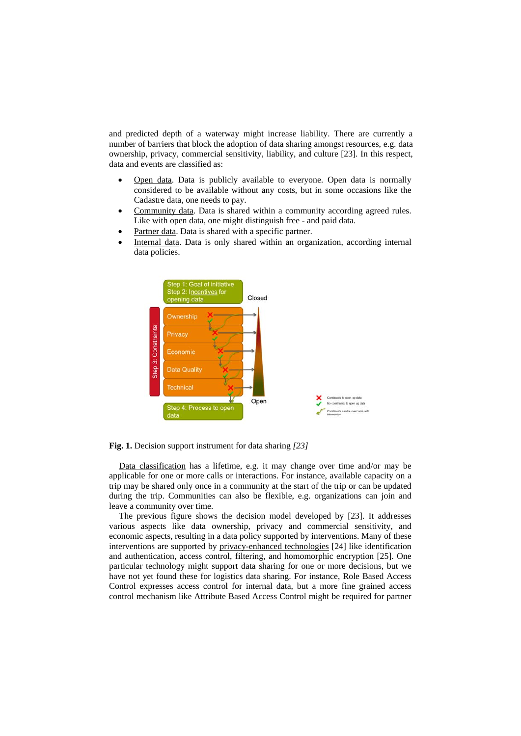and predicted depth of a waterway might increase liability. There are currently a number of barriers that block the adoption of data sharing amongst resources, e.g. data ownership, privacy, commercial sensitivity, liability, and culture [23]. In this respect, data and events are classified as:

- Open data. Data is publicly available to everyone. Open data is normally considered to be available without any costs, but in some occasions like the Cadastre data, one needs to pay.
- Community data. Data is shared within a community according agreed rules. Like with open data, one might distinguish free - and paid data.
- Partner data. Data is shared with a specific partner.
- Internal data. Data is only shared within an organization, according internal data policies.



**Fig. 1.** Decision support instrument for data sharing *[23]*

Data classification has a lifetime, e.g. it may change over time and/or may be applicable for one or more calls or interactions. For instance, available capacity on a trip may be shared only once in a community at the start of the trip or can be updated during the trip. Communities can also be flexible, e.g. organizations can join and leave a community over time.

The previous figure shows the decision model developed by [23]. It addresses various aspects like data ownership, privacy and commercial sensitivity, and economic aspects, resulting in a data policy supported by interventions. Many of these interventions are supported by privacy-enhanced technologies [24] like identification and authentication, access control, filtering, and homomorphic encryption [25]. One particular technology might support data sharing for one or more decisions, but we have not yet found these for logistics data sharing. For instance, Role Based Access Control expresses access control for internal data, but a more fine grained access control mechanism like Attribute Based Access Control might be required for partner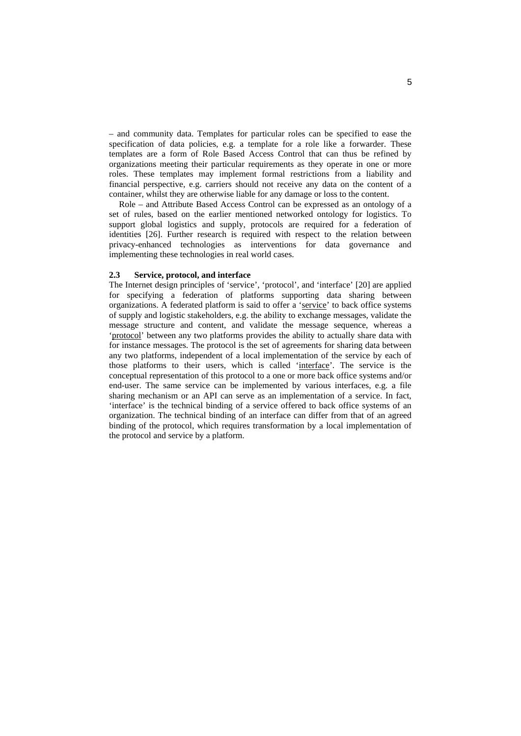– and community data. Templates for particular roles can be specified to ease the specification of data policies, e.g. a template for a role like a forwarder. These templates are a form of Role Based Access Control that can thus be refined by organizations meeting their particular requirements as they operate in one or more roles. These templates may implement formal restrictions from a liability and financial perspective, e.g. carriers should not receive any data on the content of a container, whilst they are otherwise liable for any damage or loss to the content.

Role – and Attribute Based Access Control can be expressed as an ontology of a set of rules, based on the earlier mentioned networked ontology for logistics. To support global logistics and supply, protocols are required for a federation of identities [26]. Further research is required with respect to the relation between privacy-enhanced technologies as interventions for data governance and implementing these technologies in real world cases.

#### **2.3 Service, protocol, and interface**

The Internet design principles of 'service', 'protocol', and 'interface' [20] are applied for specifying a federation of platforms supporting data sharing between organizations. A federated platform is said to offer a 'service' to back office systems of supply and logistic stakeholders, e.g. the ability to exchange messages, validate the message structure and content, and validate the message sequence, whereas a 'protocol' between any two platforms provides the ability to actually share data with for instance messages. The protocol is the set of agreements for sharing data between any two platforms, independent of a local implementation of the service by each of those platforms to their users, which is called 'interface'. The service is the conceptual representation of this protocol to a one or more back office systems and/or end-user. The same service can be implemented by various interfaces, e.g. a file sharing mechanism or an API can serve as an implementation of a service. In fact, 'interface' is the technical binding of a service offered to back office systems of an organization. The technical binding of an interface can differ from that of an agreed binding of the protocol, which requires transformation by a local implementation of the protocol and service by a platform.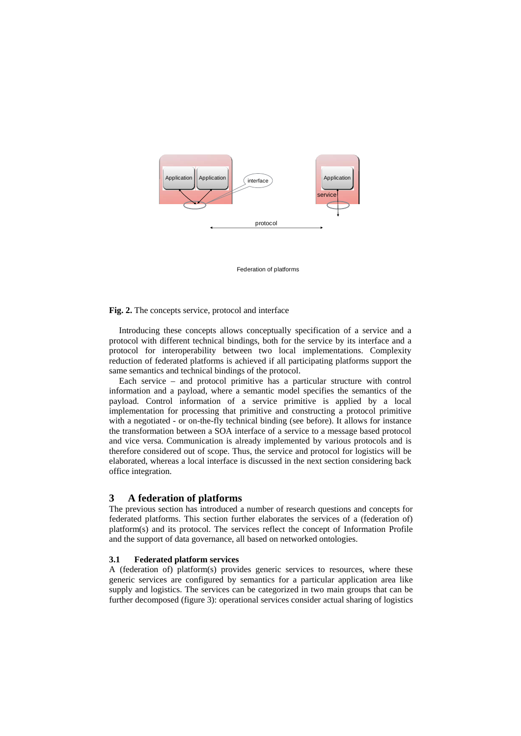

Federation of platforms

#### **Fig. 2.** The concepts service, protocol and interface

Introducing these concepts allows conceptually specification of a service and a protocol with different technical bindings, both for the service by its interface and a protocol for interoperability between two local implementations. Complexity reduction of federated platforms is achieved if all participating platforms support the same semantics and technical bindings of the protocol.

Each service – and protocol primitive has a particular structure with control information and a payload, where a semantic model specifies the semantics of the payload. Control information of a service primitive is applied by a local implementation for processing that primitive and constructing a protocol primitive with a negotiated - or on-the-fly technical binding (see before). It allows for instance the transformation between a SOA interface of a service to a message based protocol and vice versa. Communication is already implemented by various protocols and is therefore considered out of scope. Thus, the service and protocol for logistics will be elaborated, whereas a local interface is discussed in the next section considering back office integration.

#### **3 A federation of platforms**

The previous section has introduced a number of research questions and concepts for federated platforms. This section further elaborates the services of a (federation of) platform(s) and its protocol. The services reflect the concept of Information Profile and the support of data governance, all based on networked ontologies.

#### **3.1 Federated platform services**

A (federation of) platform(s) provides generic services to resources, where these generic services are configured by semantics for a particular application area like supply and logistics. The services can be categorized in two main groups that can be further decomposed (figure 3): operational services consider actual sharing of logistics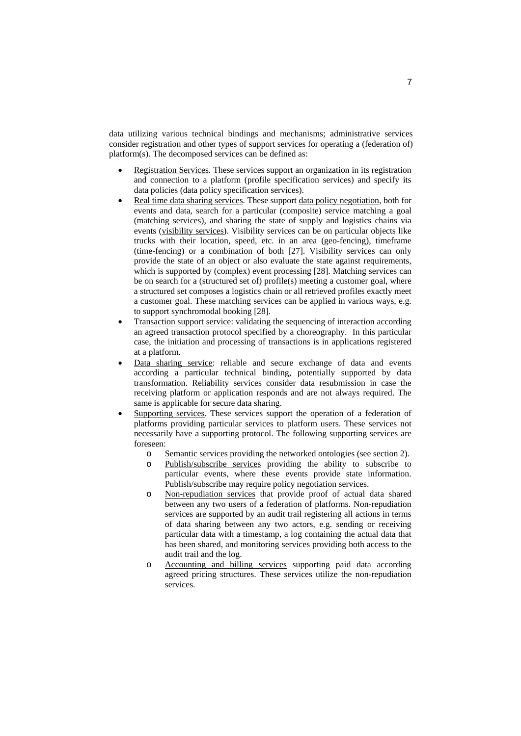data utilizing various technical bindings and mechanisms; administrative services consider registration and other types of support services for operating a (federation of) platform(s). The decomposed services can be defined as:

- Registration Services. These services support an organization in its registration and connection to a platform (profile specification services) and specify its data policies (data policy specification services).
- Real time data sharing services. These support data policy negotiation, both for events and data, search for a particular (composite) service matching a goal (matching services), and sharing the state of supply and logistics chains via events (visibility services). Visibility services can be on particular objects like trucks with their location, speed, etc. in an area (geo-fencing), timeframe (time-fencing) or a combination of both [27]. Visibility services can only provide the state of an object or also evaluate the state against requirements, which is supported by (complex) event processing [28]. Matching services can be on search for a (structured set of) profile(s) meeting a customer goal, where a structured set composes a logistics chain or all retrieved profiles exactly meet a customer goal. These matching services can be applied in various ways, e.g. to support synchromodal booking [28].
- Transaction support service: validating the sequencing of interaction according an agreed transaction protocol specified by a choreography. In this particular case, the initiation and processing of transactions is in applications registered at a platform.
- Data sharing service: reliable and secure exchange of data and events according a particular technical binding, potentially supported by data transformation. Reliability services consider data resubmission in case the receiving platform or application responds and are not always required. The same is applicable for secure data sharing.
- Supporting services. These services support the operation of a federation of platforms providing particular services to platform users. These services not necessarily have a supporting protocol. The following supporting services are foreseen:
	- o Semantic services providing the networked ontologies (see section 2).
	- o Publish/subscribe services providing the ability to subscribe to particular events, where these events provide state information. Publish/subscribe may require policy negotiation services.
	- o Non-repudiation services that provide proof of actual data shared between any two users of a federation of platforms. Non-repudiation services are supported by an audit trail registering all actions in terms of data sharing between any two actors, e.g. sending or receiving particular data with a timestamp, a log containing the actual data that has been shared, and monitoring services providing both access to the audit trail and the log.
	- o Accounting and billing services supporting paid data according agreed pricing structures. These services utilize the non-repudiation services.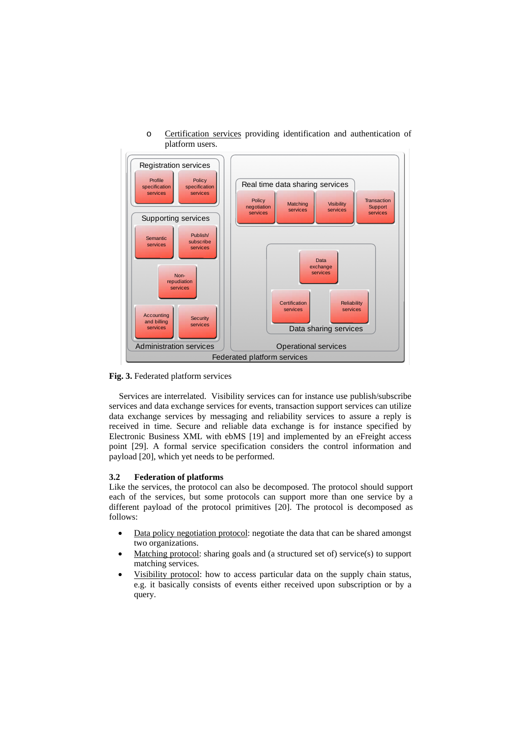

#### o Certification services providing identification and authentication of platform users.

**Fig. 3.** Federated platform services

Services are interrelated. Visibility services can for instance use publish/subscribe services and data exchange services for events, transaction support services can utilize data exchange services by messaging and reliability services to assure a reply is received in time. Secure and reliable data exchange is for instance specified by Electronic Business XML with ebMS [19] and implemented by an eFreight access point [29]. A formal service specification considers the control information and payload [20], which yet needs to be performed.

### **3.2 Federation of platforms**

Like the services, the protocol can also be decomposed. The protocol should support each of the services, but some protocols can support more than one service by a different payload of the protocol primitives [20]. The protocol is decomposed as follows:

- Data policy negotiation protocol: negotiate the data that can be shared amongst two organizations.
- Matching protocol: sharing goals and (a structured set of) service(s) to support matching services.
- Visibility protocol: how to access particular data on the supply chain status, e.g. it basically consists of events either received upon subscription or by a query.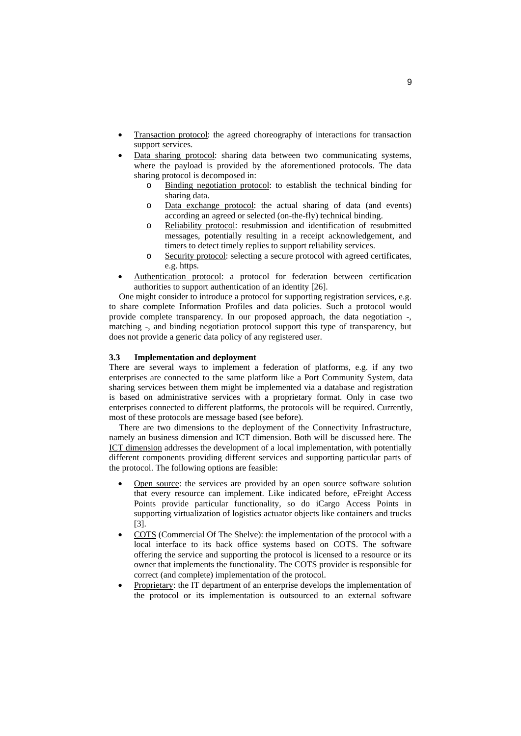- Transaction protocol: the agreed choreography of interactions for transaction support services.
- Data sharing protocol: sharing data between two communicating systems, where the payload is provided by the aforementioned protocols. The data sharing protocol is decomposed in:
	- o Binding negotiation protocol: to establish the technical binding for sharing data.
	- o Data exchange protocol: the actual sharing of data (and events) according an agreed or selected (on-the-fly) technical binding.
	- o Reliability protocol: resubmission and identification of resubmitted messages, potentially resulting in a receipt acknowledgement, and timers to detect timely replies to support reliability services.
	- o Security protocol: selecting a secure protocol with agreed certificates, e.g. https.
- Authentication protocol: a protocol for federation between certification authorities to support authentication of an identity [26].

One might consider to introduce a protocol for supporting registration services, e.g. to share complete Information Profiles and data policies. Such a protocol would provide complete transparency. In our proposed approach, the data negotiation -, matching -, and binding negotiation protocol support this type of transparency, but does not provide a generic data policy of any registered user.

#### **3.3 Implementation and deployment**

There are several ways to implement a federation of platforms, e.g. if any two enterprises are connected to the same platform like a Port Community System, data sharing services between them might be implemented via a database and registration is based on administrative services with a proprietary format. Only in case two enterprises connected to different platforms, the protocols will be required. Currently, most of these protocols are message based (see before).

There are two dimensions to the deployment of the Connectivity Infrastructure, namely an business dimension and ICT dimension. Both will be discussed here. The ICT dimension addresses the development of a local implementation, with potentially different components providing different services and supporting particular parts of the protocol. The following options are feasible:

- Open source: the services are provided by an open source software solution that every resource can implement. Like indicated before, eFreight Access Points provide particular functionality, so do iCargo Access Points in supporting virtualization of logistics actuator objects like containers and trucks [3].
- COTS (Commercial Of The Shelve): the implementation of the protocol with a local interface to its back office systems based on COTS. The software offering the service and supporting the protocol is licensed to a resource or its owner that implements the functionality. The COTS provider is responsible for correct (and complete) implementation of the protocol.
- Proprietary: the IT department of an enterprise develops the implementation of the protocol or its implementation is outsourced to an external software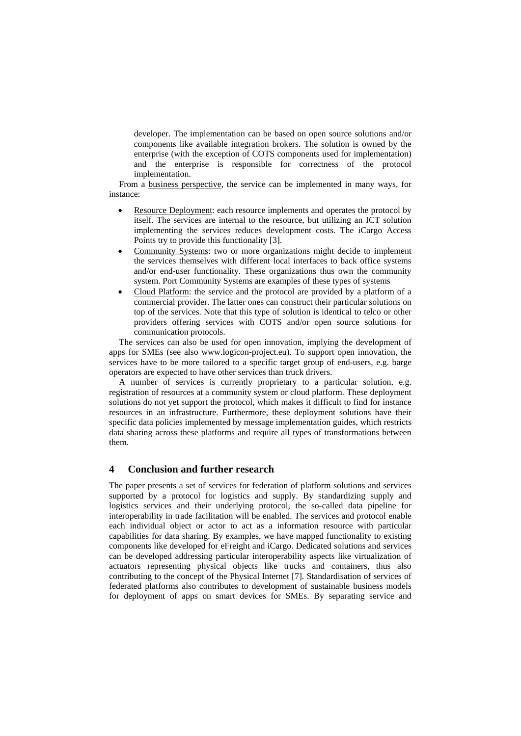developer. The implementation can be based on open source solutions and/or components like available integration brokers. The solution is owned by the enterprise (with the exception of COTS components used for implementation) and the enterprise is responsible for correctness of the protocol implementation.

From a business perspective, the service can be implemented in many ways, for instance:

- Resource Deployment: each resource implements and operates the protocol by itself. The services are internal to the resource, but utilizing an ICT solution implementing the services reduces development costs. The iCargo Access Points try to provide this functionality [3].
- Community Systems: two or more organizations might decide to implement the services themselves with different local interfaces to back office systems and/or end-user functionality. These organizations thus own the community system. Port Community Systems are examples of these types of systems
- Cloud Platform: the service and the protocol are provided by a platform of a commercial provider. The latter ones can construct their particular solutions on top of the services. Note that this type of solution is identical to telco or other providers offering services with COTS and/or open source solutions for communication protocols.

The services can also be used for open innovation, implying the development of apps for SMEs (see also www.logicon-project.eu). To support open innovation, the services have to be more tailored to a specific target group of end-users, e.g. barge operators are expected to have other services than truck drivers.

A number of services is currently proprietary to a particular solution, e.g. registration of resources at a community system or cloud platform. These deployment solutions do not yet support the protocol, which makes it difficult to find for instance resources in an infrastructure. Furthermore, these deployment solutions have their specific data policies implemented by message implementation guides, which restricts data sharing across these platforms and require all types of transformations between them.

### **4 Conclusion and further research**

The paper presents a set of services for federation of platform solutions and services supported by a protocol for logistics and supply. By standardizing supply and logistics services and their underlying protocol, the so-called data pipeline for interoperability in trade facilitation will be enabled. The services and protocol enable each individual object or actor to act as a information resource with particular capabilities for data sharing. By examples, we have mapped functionality to existing components like developed for eFreight and iCargo. Dedicated solutions and services can be developed addressing particular interoperability aspects like virtualization of actuators representing physical objects like trucks and containers, thus also contributing to the concept of the Physical Internet [7]. Standardisation of services of federated platforms also contributes to development of sustainable business models for deployment of apps on smart devices for SMEs. By separating service and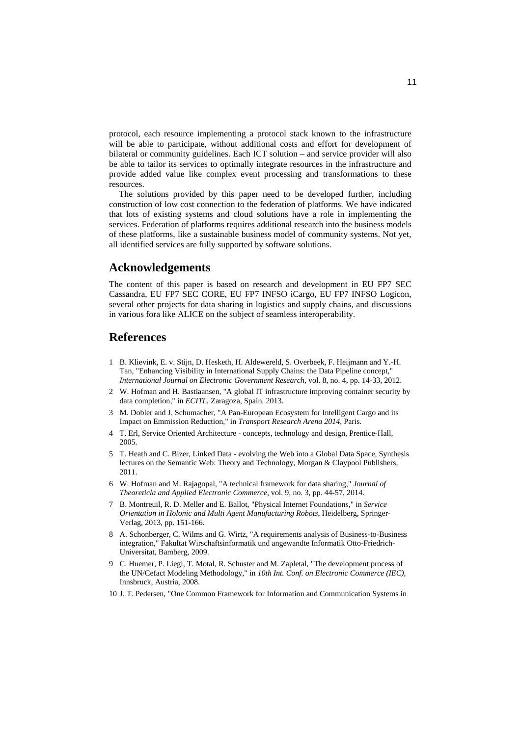protocol, each resource implementing a protocol stack known to the infrastructure will be able to participate, without additional costs and effort for development of bilateral or community guidelines. Each ICT solution – and service provider will also be able to tailor its services to optimally integrate resources in the infrastructure and provide added value like complex event processing and transformations to these resources.

The solutions provided by this paper need to be developed further, including construction of low cost connection to the federation of platforms. We have indicated that lots of existing systems and cloud solutions have a role in implementing the services. Federation of platforms requires additional research into the business models of these platforms, like a sustainable business model of community systems. Not yet, all identified services are fully supported by software solutions.

## **Acknowledgements**

The content of this paper is based on research and development in EU FP7 SEC Cassandra, EU FP7 SEC CORE, EU FP7 INFSO iCargo, EU FP7 INFSO Logicon, several other projects for data sharing in logistics and supply chains, and discussions in various fora like ALICE on the subject of seamless interoperability.

## **References**

- 1 B. Klievink, E. v. Stijn, D. Hesketh, H. Aldewereld, S. Overbeek, F. Heijmann and Y.-H. Tan, "Enhancing Visibility in International Supply Chains: the Data Pipeline concept," *International Journal on Electronic Government Research,* vol. 8, no. 4, pp. 14-33, 2012.
- 2 W. Hofman and H. Bastiaansen, "A global IT infrastructure improving container security by data completion," in *ECITL*, Zaragoza, Spain, 2013.
- 3 M. Dobler and J. Schumacher, "A Pan-European Ecosystem for Intelligent Cargo and its Impact on Emmission Reduction," in *Transport Research Arena 2014*, Paris.
- 4 T. Erl, Service Oriented Architecture concepts, technology and design, Prentice-Hall, 2005.
- 5 T. Heath and C. Bizer, Linked Data evolving the Web into a Global Data Space, Synthesis lectures on the Semantic Web: Theory and Technology, Morgan & Claypool Publishers, 2011.
- 6 W. Hofman and M. Rajagopal, "A technical framework for data sharing," *Journal of Theoreticla and Applied Electronic Commerce,* vol. 9, no. 3, pp. 44-57, 2014.
- 7 B. Montreuil, R. D. Meller and E. Ballot, "Physical Internet Foundations," in *Service Orientation in Holonic and Multi Agent Manufacturing Robots*, Heidelberg, Springer-Verlag, 2013, pp. 151-166.
- 8 A. Schonberger, C. Wilms and G. Wirtz, "A requirements analysis of Business-to-Business integration," Fakultat Wirschaftsinformatik und angewandte Informatik Otto-Friedrich-Universitat, Bamberg, 2009.
- 9 C. Huemer, P. Liegl, T. Motal, R. Schuster and M. Zapletal, "The development process of the UN/Cefact Modeling Methodology," in *10th Int. Conf. on Electronic Commerce (IEC)*, Innsbruck, Austria, 2008.
- 10 J. T. Pedersen, "One Common Framework for Information and Communication Systems in